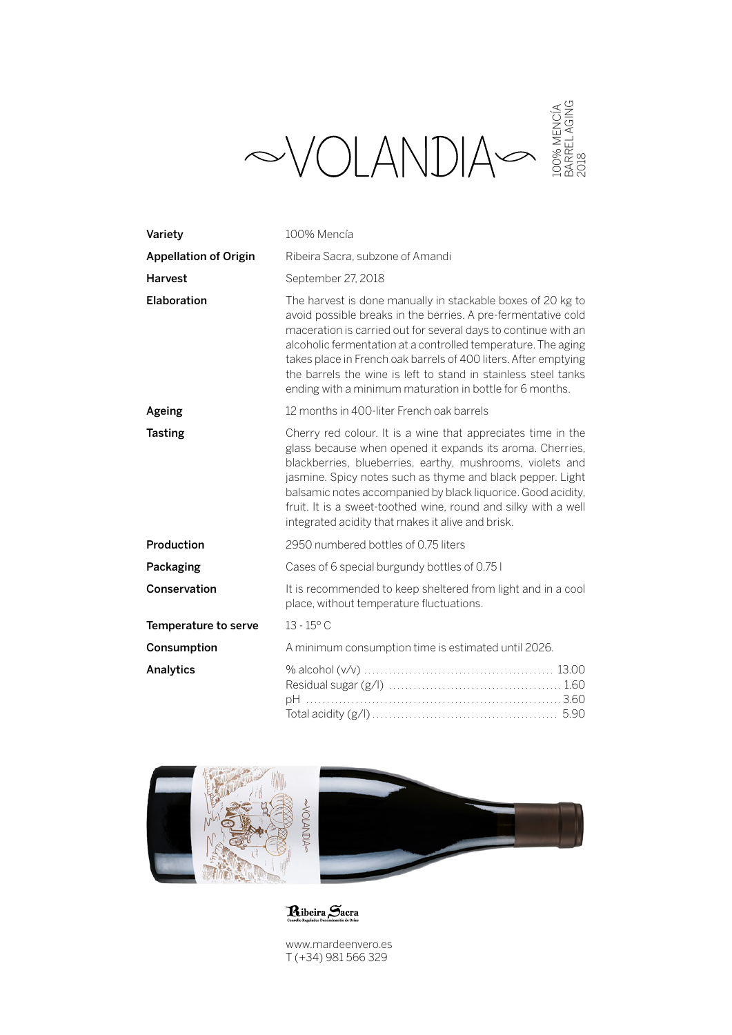|                              | .00% MENCÍA<br>3ARREL AGING<br>2018<br>$\sim$ VOLANDIA                                                                                                                                                                                                                                                                                                                                                                                                           |
|------------------------------|------------------------------------------------------------------------------------------------------------------------------------------------------------------------------------------------------------------------------------------------------------------------------------------------------------------------------------------------------------------------------------------------------------------------------------------------------------------|
| Variety                      | 100% Mencía                                                                                                                                                                                                                                                                                                                                                                                                                                                      |
| <b>Appellation of Origin</b> | Ribeira Sacra, subzone of Amandi                                                                                                                                                                                                                                                                                                                                                                                                                                 |
| <b>Harvest</b>               | September 27, 2018                                                                                                                                                                                                                                                                                                                                                                                                                                               |
| Elaboration                  | The harvest is done manually in stackable boxes of 20 kg to<br>avoid possible breaks in the berries. A pre-fermentative cold<br>maceration is carried out for several days to continue with an<br>alcoholic fermentation at a controlled temperature. The aging<br>takes place in French oak barrels of 400 liters. After emptying<br>the barrels the wine is left to stand in stainless steel tanks<br>ending with a minimum maturation in bottle for 6 months. |
| Ageing                       | 12 months in 400-liter French oak barrels                                                                                                                                                                                                                                                                                                                                                                                                                        |
| <b>Tasting</b>               | Cherry red colour. It is a wine that appreciates time in the<br>glass because when opened it expands its aroma. Cherries,<br>blackberries, blueberries, earthy, mushrooms, violets and<br>jasmine. Spicy notes such as thyme and black pepper. Light<br>balsamic notes accompanied by black liquorice. Good acidity,<br>fruit. It is a sweet-toothed wine, round and silky with a well<br>integrated acidity that makes it alive and brisk.                      |
| Production                   | 2950 numbered bottles of 0.75 liters                                                                                                                                                                                                                                                                                                                                                                                                                             |
| Packaging                    | Cases of 6 special burgundy bottles of 0.75 l                                                                                                                                                                                                                                                                                                                                                                                                                    |
| Conservation                 | It is recommended to keep sheltered from light and in a cool<br>place, without temperature fluctuations.                                                                                                                                                                                                                                                                                                                                                         |
| Temperature to serve         | $13 - 15^{\circ}$ C                                                                                                                                                                                                                                                                                                                                                                                                                                              |
| Consumption                  | A minimum consumption time is estimated until 2026.                                                                                                                                                                                                                                                                                                                                                                                                              |
| Analytics                    |                                                                                                                                                                                                                                                                                                                                                                                                                                                                  |



Ribeira Sacra

www.mardeenvero.es T (+34) 981 566 329